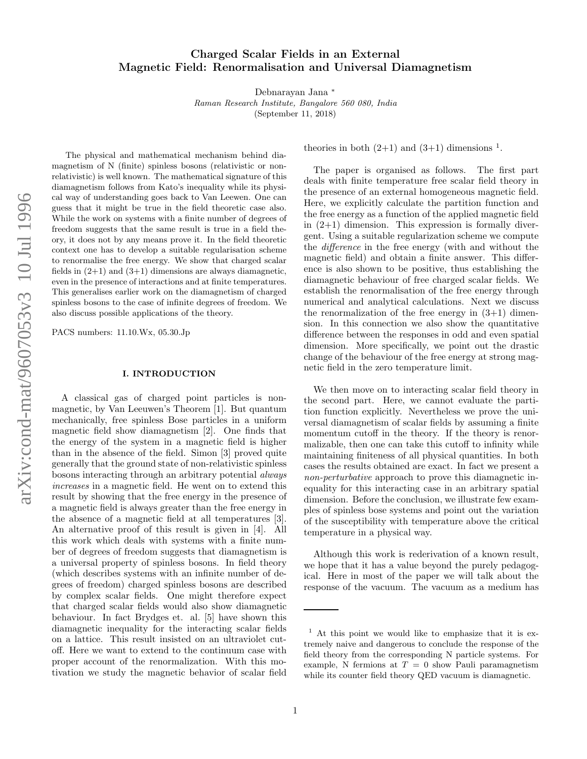# Charged Scalar Fields in an External Magnetic Field: Renormalisation and Universal Diamagnetism

Debnarayan Jana ∗

Raman Research Institute, Bangalore 560 080, India

(September 11, 2018)

The physical and mathematical mechanism behind diamagnetism of N (finite) spinless bosons (relativistic or nonrelativistic) is well known. The mathematical signature of this diamagnetism follows from Kato's inequality while its physical way of understanding goes back to Van Leewen. One can guess that it might be true in the field theoretic case also. While the work on systems with a finite number of degrees of freedom suggests that the same result is true in a field theory, it does not by any means prove it. In the field theoretic context one has to develop a suitable regularisation scheme to renormalise the free energy. We show that charged scalar fields in  $(2+1)$  and  $(3+1)$  dimensions are always diamagnetic, even in the presence of interactions and at finite temperatures. This generalises earlier work on the diamagnetism of charge d spinless bosons to the case of infinite degrees of freedom. We also discuss possible applications of the theory.

PACS numbers: 11.10.Wx, 05.30.Jp

#### I. INTRODUCTION

A classical gas of charged point particles is nonmagnetic, by Van Leeuwen's Theorem [1]. But quantum mechanically, free spinless Bose particles in a uniform magnetic field show diamagnetism [2]. One finds that the energy of the system in a magnetic field is higher than in the absence of the field. Simon [3] proved quite generally that the ground state of non-relativistic spinless bosons interacting through an arbitrary potential always increases in a magnetic field. He went on to extend this result by showing that the free energy in the presence of a magnetic field is always greater than the free energy in the absence of a magnetic field at all temperatures [3]. An alternative proof of this result is given in [4]. All this work which deals with systems with a finite number of degrees of freedom suggests that diamagnetism is a universal property of spinless bosons. In field theory (which describes systems with an infinite number of degrees of freedom) charged spinless bosons are described by complex scalar fields. One might therefore expect that charged scalar fields would also show diamagnetic behaviour. In fact Brydges et. al. [5] have shown this diamagnetic inequality for the interacting scalar fields on a lattice. This result insisted on an ultraviolet cutoff. Here we want to extend to the continuum case with proper account of the renormalization. With this motivation we study the magnetic behavior of scalar field

theories in both  $(2+1)$  and  $(3+1)$  dimensions<sup>1</sup>.

The paper is organised as follows. The first part deals with finite temperature free scalar field theory in the presence of an external homogeneous magnetic field. Here, we explicitly calculate the partition function and the free energy as a function of the applied magnetic field in  $(2+1)$  dimension. This expression is formally divergent. Using a suitable regularization scheme we compute the difference in the free energy (with and without the magnetic field) and obtain a finite answer. This difference is also shown to be positive, thus establishing the diamagnetic behaviour of free charged scalar fields. We establish the renormalisation of the free energy through numerical and analytical calculations. Next we discuss the renormalization of the free energy in  $(3+1)$  dimension. In this connection we also show the quantitative difference between the responses in odd and even spatial dimension. More specifically, we point out the drastic change of the behaviour of the free energy at strong magnetic field in the zero temperature limit.

We then move on to interacting scalar field theory in the second part. Here, we cannot evaluate the partition function explicitly. Nevertheless we prove the universal diamagnetism of scalar fields by assuming a finite momentum cutoff in the theory. If the theory is renormalizable, then one can take this cutoff to infinity while maintaining finiteness of all physical quantities. In both cases the results obtained are exact. In fact we present a non-perturbative approach to prove this diamagnetic inequality for this interacting case in an arbitrary spatial dimension. Before the conclusion, we illustrate few examples of spinless bose systems and point out the variation of the susceptibility with temperature above the critical temperature in a physical way.

Although this work is rederivation of a known result, we hope that it has a value beyond the purely pedagogical. Here in most of the paper we will talk about the response of the vacuum. The vacuum as a medium has

<sup>&</sup>lt;sup>1</sup> At this point we would like to emphasize that it is extremely naive and dangerous to conclude the response of the field theory from the corresponding N particle systems. For example, N fermions at  $T = 0$  show Pauli paramagnetism while its counter field theory QED vacuum is diamagnetic.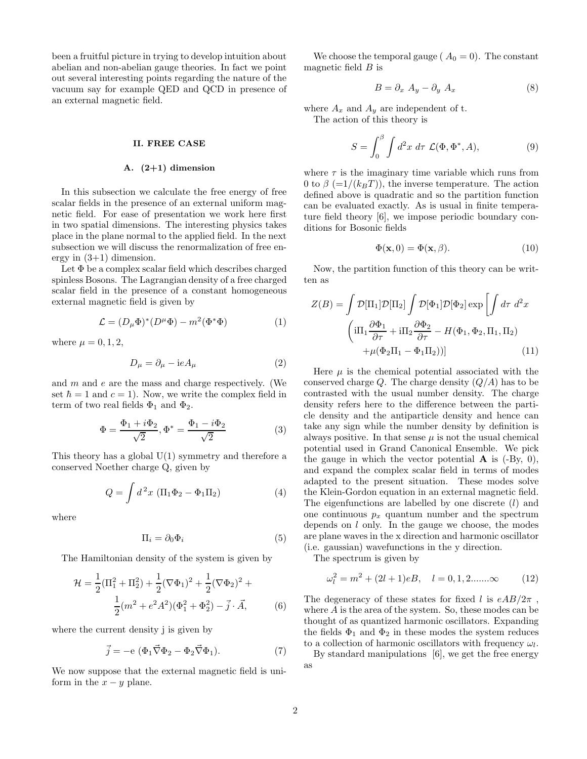been a fruitful picture in trying to develop intuition about abelian and non-abelian gauge theories. In fact we point out several interesting points regarding the nature of the vacuum say for example QED and QCD in presence of an external magnetic field.

#### II. FREE CASE

#### A.  $(2+1)$  dimension

In this subsection we calculate the free energy of free scalar fields in the presence of an external uniform magnetic field. For ease of presentation we work here first in two spatial dimensions. The interesting physics takes place in the plane normal to the applied field. In the next subsection we will discuss the renormalization of free energy in  $(3+1)$  dimension.

Let  $\Phi$  be a complex scalar field which describes charged spinless Bosons. The Lagrangian density of a free charged scalar field in the presence of a constant homogeneous external magnetic field is given by

$$
\mathcal{L} = (D_{\mu}\Phi)^{*}(D^{\mu}\Phi) - m^{2}(\Phi^{*}\Phi)
$$
 (1)

where  $\mu = 0, 1, 2,$ 

$$
D_{\mu} = \partial_{\mu} - ieA_{\mu} \tag{2}
$$

and  $m$  and  $e$  are the mass and charge respectively. (We set  $\hbar = 1$  and  $c = 1$ ). Now, we write the complex field in term of two real fields  $\Phi_1$  and  $\Phi_2$ .

$$
\Phi = \frac{\Phi_1 + i\Phi_2}{\sqrt{2}}, \Phi^* = \frac{\Phi_1 - i\Phi_2}{\sqrt{2}} \tag{3}
$$

This theory has a global  $U(1)$  symmetry and therefore a conserved Noether charge Q, given by

$$
Q = \int d^2x \, (\Pi_1 \Phi_2 - \Phi_1 \Pi_2) \tag{4}
$$

where

$$
\Pi_i = \partial_0 \Phi_i \tag{5}
$$

The Hamiltonian density of the system is given by

$$
\mathcal{H} = \frac{1}{2}(\Pi_1^2 + \Pi_2^2) + \frac{1}{2}(\nabla\Phi_1)^2 + \frac{1}{2}(\nabla\Phi_2)^2 + \frac{1}{2}(m^2 + e^2A^2)(\Phi_1^2 + \Phi_2^2) - \vec{j} \cdot \vec{A},
$$
 (6)

where the current density i is given by

$$
\vec{j} = -e \left( \Phi_1 \vec{\nabla} \Phi_2 - \Phi_2 \vec{\nabla} \Phi_1 \right).
$$
 (7)

We now suppose that the external magnetic field is uniform in the  $x - y$  plane.

We choose the temporal gauge ( $A_0 = 0$ ). The constant magnetic field  $B$  is

$$
B = \partial_x A_y - \partial_y A_x \tag{8}
$$

where  $A_x$  and  $A_y$  are independent of t. The action of this theory is

$$
S = \int_0^\beta \int d^2x \, d\tau \, \mathcal{L}(\Phi, \Phi^*, A), \tag{9}
$$

where  $\tau$  is the imaginary time variable which runs from 0 to  $\beta$  (=1/(k<sub>B</sub>T)), the inverse temperature. The action defined above is quadratic and so the partition function can be evaluated exactly. As is usual in finite temperature field theory [6], we impose periodic boundary conditions for Bosonic fields

$$
\Phi(\mathbf{x},0) = \Phi(\mathbf{x},\beta). \tag{10}
$$

Now, the partition function of this theory can be written as

$$
Z(B) = \int \mathcal{D}[\Pi_1] \mathcal{D}[\Pi_2] \int \mathcal{D}[\Phi_1] \mathcal{D}[\Phi_2] \exp \left[ \int d\tau \ d^2x \right]
$$

$$
\left( i\Pi_1 \frac{\partial \Phi_1}{\partial \tau} + i\Pi_2 \frac{\partial \Phi_2}{\partial \tau} - H(\Phi_1, \Phi_2, \Pi_1, \Pi_2) \right)
$$

$$
+ \mu(\Phi_2 \Pi_1 - \Phi_1 \Pi_2))]
$$
(11)

Here  $\mu$  is the chemical potential associated with the conserved charge Q. The charge density  $(Q/A)$  has to be contrasted with the usual number density. The charge density refers here to the difference between the particle density and the antiparticle density and hence can take any sign while the number density by definition is always positive. In that sense  $\mu$  is not the usual chemical potential used in Grand Canonical Ensemble. We pick the gauge in which the vector potential  $\bf{A}$  is (-By, 0), and expand the complex scalar field in terms of modes adapted to the present situation. These modes solve the Klein-Gordon equation in an external magnetic field. The eigenfunctions are labelled by one discrete  $(l)$  and one continuous  $p_x$  quantum number and the spectrum depends on  $l$  only. In the gauge we choose, the modes are plane waves in the x direction and harmonic oscillator (i.e. gaussian) wavefunctions in the y direction.

The spectrum is given by

$$
\omega_l^2 = m^2 + (2l+1)eB, \quad l = 0, 1, 2 \dots \infty \tag{12}
$$

The degeneracy of these states for fixed l is  $eAB/2\pi$ , where  $A$  is the area of the system. So, these modes can be thought of as quantized harmonic oscillators. Expanding the fields  $\Phi_1$  and  $\Phi_2$  in these modes the system reduces to a collection of harmonic oscillators with frequency  $\omega_l$ .

By standard manipulations [6], we get the free energy as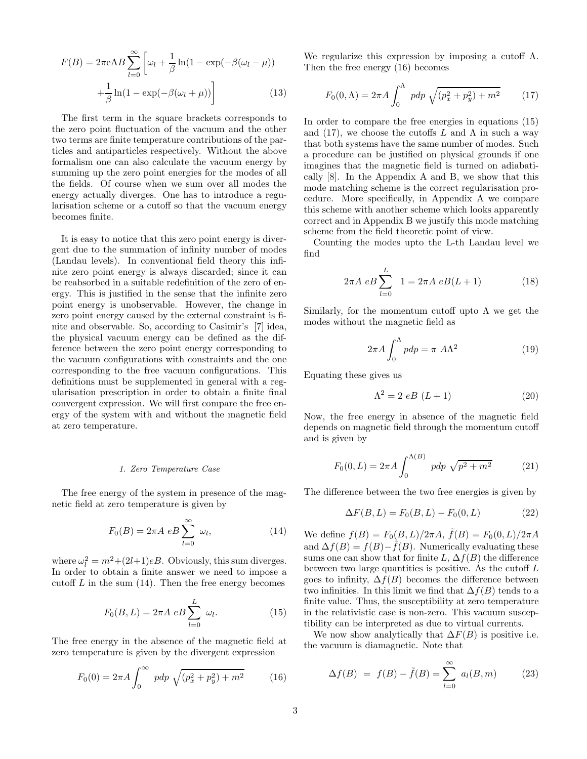$$
F(B) = 2\pi eAB \sum_{l=0}^{\infty} \left[ \omega_l + \frac{1}{\beta} \ln(1 - \exp(-\beta(\omega_l - \mu))) + \frac{1}{\beta} \ln(1 - \exp(-\beta(\omega_l + \mu))) \right]
$$
(13)

The first term in the square brackets corresponds to the zero point fluctuation of the vacuum and the other two terms are finite temperature contributions of the particles and antiparticles respectively. Without the above formalism one can also calculate the vacuum energy by summing up the zero point energies for the modes of all the fields. Of course when we sum over all modes the energy actually diverges. One has to introduce a regularisation scheme or a cutoff so that the vacuum energy becomes finite.

It is easy to notice that this zero point energy is divergent due to the summation of infinity number of modes (Landau levels). In conventional field theory this infinite zero point energy is always discarded; since it can be reabsorbed in a suitable redefinition of the zero of energy. This is justified in the sense that the infinite zero point energy is unobservable. However, the change in zero point energy caused by the external constraint is finite and observable. So, according to Casimir's [7] idea, the physical vacuum energy can be defined as the difference between the zero point energy corresponding to the vacuum configurations with constraints and the one corresponding to the free vacuum configurations. This definitions must be supplemented in general with a regularisation prescription in order to obtain a finite final convergent expression. We will first compare the free energy of the system with and without the magnetic field at zero temperature.

### 1. Zero Temperature Case

The free energy of the system in presence of the magnetic field at zero temperature is given by

$$
F_0(B) = 2\pi A \ e B \sum_{l=0}^{\infty} \ \omega_l, \tag{14}
$$

where  $\omega_l^2 = m^2 + (2l+1)eB$ . Obviously, this sum diverges. In order to obtain a finite answer we need to impose a cutoff  $L$  in the sum  $(14)$ . Then the free energy becomes

$$
F_0(B, L) = 2\pi A \ e B \sum_{l=0}^{L} \ \omega_l. \tag{15}
$$

The free energy in the absence of the magnetic field at zero temperature is given by the divergent expression

$$
F_0(0) = 2\pi A \int_0^\infty p dp \sqrt{(p_x^2 + p_y^2) + m^2}
$$
 (16)

We regularize this expression by imposing a cutoff  $\Lambda$ . Then the free energy (16) becomes

$$
F_0(0,\Lambda) = 2\pi A \int_0^{\Lambda} p dp \sqrt{(p_x^2 + p_y^2) + m^2}
$$
 (17)

In order to compare the free energies in equations (15) and (17), we choose the cutoffs L and  $\Lambda$  in such a way that both systems have the same number of modes. Such a procedure can be justified on physical grounds if one imagines that the magnetic field is turned on adiabatically [8]. In the Appendix A and B, we show that this mode matching scheme is the correct regularisation procedure. More specifically, in Appendix A we compare this scheme with another scheme which looks apparently correct and in Appendix B we justify this mode matching scheme from the field theoretic point of view.

Counting the modes upto the L-th Landau level we find

$$
2\pi A \ eB \sum_{l=0}^{L} 1 = 2\pi A \ eB(L+1)
$$
 (18)

Similarly, for the momentum cutoff upto  $\Lambda$  we get the modes without the magnetic field as

$$
2\pi A \int_0^{\Lambda} pdp = \pi A\Lambda^2
$$
 (19)

Equating these gives us

$$
\Lambda^2 = 2 eB \ (L+1) \tag{20}
$$

Now, the free energy in absence of the magnetic field depends on magnetic field through the momentum cutoff and is given by

$$
F_0(0, L) = 2\pi A \int_0^{\Lambda(B)} p dp \sqrt{p^2 + m^2}
$$
 (21)

The difference between the two free energies is given by

$$
\Delta F(B, L) = F_0(B, L) - F_0(0, L) \tag{22}
$$

We define  $f(B) = F_0(B, L)/2\pi A$ ,  $\tilde{f}(B) = F_0(0, L)/2\pi A$ and  $\Delta f(B) = f(B) - f(B)$ . Numerically evaluating these sums one can show that for finite L,  $\Delta f(B)$  the difference between two large quantities is positive. As the cutoff  $L$ goes to infinity,  $\Delta f(B)$  becomes the difference between two infinities. In this limit we find that  $\Delta f(B)$  tends to a finite value. Thus, the susceptibility at zero temperature in the relativistic case is non-zero. This vacuum susceptibility can be interpreted as due to virtual currents.

We now show analytically that  $\Delta F(B)$  is positive i.e. the vacuum is diamagnetic. Note that

$$
\Delta f(B) = f(B) - \tilde{f}(B) = \sum_{l=0}^{\infty} a_l(B, m) \tag{23}
$$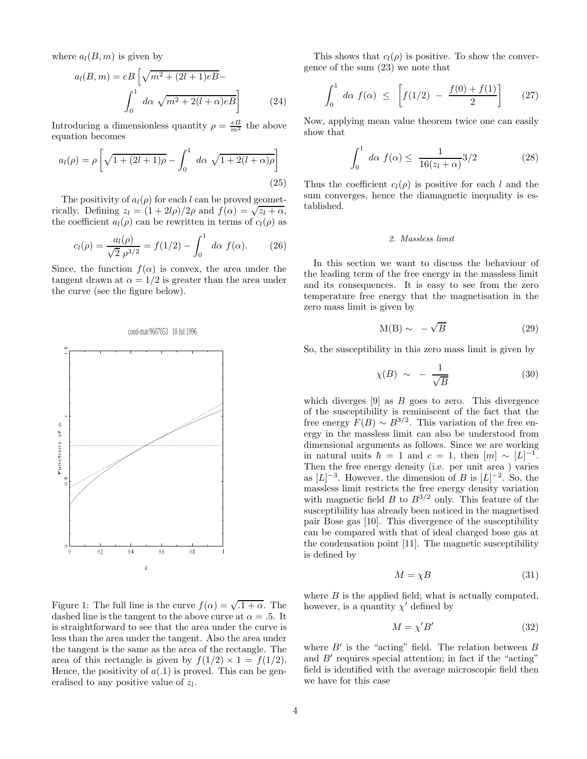where  $a_l(B, m)$  is given by

$$
a_l(B,m) = eB\left[\sqrt{m^2 + (2l+1)eB} - \int_0^1 d\alpha \sqrt{m^2 + 2(l+\alpha)eB}\right]
$$
 (24)

Introducing a dimensionless quantity  $\rho = \frac{eB}{m^2}$  the above equation becomes

$$
a_l(\rho) = \rho \left[ \sqrt{1 + (2l + 1)\rho} - \int_0^1 d\alpha \sqrt{1 + 2(l + \alpha)\rho} \right]
$$
\n(25)

The positivity of  $a_l(\rho)$  for each l can be proved geometrically. Defining  $z_l = (1 + 2l\rho)/2\rho$  and  $f(\alpha) = \sqrt{z_l + \alpha}$ , the coefficient  $a_l(\rho)$  can be rewritten in terms of  $c_l(\rho)$  as

$$
c_l(\rho) = \frac{a_l(\rho)}{\sqrt{2} \rho^{3/2}} = f(1/2) - \int_0^1 d\alpha \ f(\alpha). \tag{26}
$$

Since, the function  $f(\alpha)$  is convex, the area under the tangent drawn at  $\alpha = 1/2$  is greater than the area under the curve (see the figure below).



## Figure 1: The full line is the curve  $f(\alpha) = \sqrt{1 + \alpha}$ . The dashed line is the tangent to the above curve at  $\alpha = .5$ . It is straightforward to see that the area under the curve is less than the area under the tangent. Also the area under the tangent is the same as the area of the rectangle. The area of this rectangle is given by  $f(1/2) \times 1 = f(1/2)$ . Hence, the positivity of  $a(0.1)$  is proved. This can be generalised to any positive value of  $z_l$ .

This shows that  $c_l(\rho)$  is positive. To show the convergence of the sum (23) we note that

$$
\int_0^1 d\alpha \ f(\alpha) \ \le \ \left[ f(1/2) \ - \ \frac{f(0) + f(1)}{2} \right] \tag{27}
$$

Now, applying mean value theorem twice one can easily show that

$$
\int_0^1 d\alpha \ f(\alpha) \le \ \frac{1}{16(z_l + \alpha)} 3/2 \tag{28}
$$

Thus the coefficient  $c_l(\rho)$  is positive for each l and the sum converges, hence the diamagnetic inequality is established.

### 2. Massless limit

In this section we want to discuss the behaviour of the leading term of the free energy in the massless limit and its consequences. It is easy to see from the zero temperature free energy that the magnetisation in the zero mass limit is given by

$$
M(B) \sim -\sqrt{B} \tag{29}
$$

So, the susceptibility in this zero mass limit is given by

$$
\chi(B) \sim -\frac{1}{\sqrt{B}}\tag{30}
$$

which diverges  $[9]$  as  $B$  goes to zero. This divergence of the susceptibility is reminiscent of the fact that the free energy  $F(B) \sim B^{3/2}$ . This variation of the free energy in the massless limit can also be understood from dimensional arguments as follows. Since we are working in natural units  $\hbar = 1$  and  $c = 1$ , then  $[m] \sim [L]^{-1}$ . Then the free energy density (i.e. per unit area ) varies as  $[L]^{-3}$ . However, the dimension of B is  $[L]^{-2}$ . So, the massless limit restricts the free energy density variation with magnetic field B to  $B^{3/2}$  only. This feature of the susceptibility has already been noticed in the magnetised pair Bose gas [10]. This divergence of the susceptibility can be compared with that of ideal charged bose gas at the condensation point [11]. The magnetic susceptibility is defined by

$$
M = \chi B \tag{31}
$$

where  $B$  is the applied field; what is actually computed, however, is a quantity  $\chi'$  defined by

$$
M = \chi' B' \tag{32}
$$

where  $B'$  is the "acting" field. The relation between  $B$ and  $B'$  requires special attention; in fact if the "acting" field is identified with the average microscopic field then we have for this case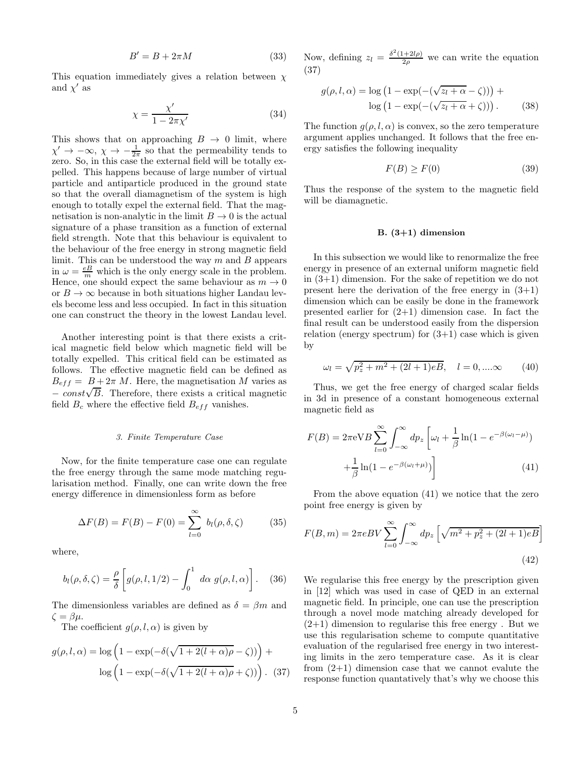$$
B' = B + 2\pi M \tag{33}
$$

This equation immediately gives a relation between  $\chi$ and  $\chi'$  as

$$
\chi = \frac{\chi'}{1 - 2\pi\chi'}\tag{34}
$$

This shows that on approaching  $B \to 0$  limit, where  $\chi' \to -\infty$ ,  $\chi \to -\frac{1}{2\pi}$  so that the permeability tends to zero. So, in this case the external field will be totally expelled. This happens because of large number of virtual particle and antiparticle produced in the ground state so that the overall diamagnetism of the system is high enough to totally expel the external field. That the magnetisation is non-analytic in the limit  $B \to 0$  is the actual signature of a phase transition as a function of external field strength. Note that this behaviour is equivalent to the behaviour of the free energy in strong magnetic field limit. This can be understood the way  $m$  and  $B$  appears in  $\omega = \frac{eB}{m}$  which is the only energy scale in the problem. Hence, one should expect the same behaviour as  $m \to 0$ or  $B \to \infty$  because in both situations higher Landau levels become less and less occupied. In fact in this situation one can construct the theory in the lowest Landau level.

Another interesting point is that there exists a critical magnetic field below which magnetic field will be totally expelled. This critical field can be estimated as follows. The effective magnetic field can be defined as  $B_{eff} = B + 2\pi M$ . Here, the magnetisation M varies as  $-\frac{const}{\sqrt{B}}$ . Therefore, there exists a critical magnetic field  $B_c$  where the effective field  $B_{eff}$  vanishes.

#### 3. Finite Temperature Case

Now, for the finite temperature case one can regulate the free energy through the same mode matching regularisation method. Finally, one can write down the free energy difference in dimensionless form as before

$$
\Delta F(B) = F(B) - F(0) = \sum_{l=0}^{\infty} b_l(\rho, \delta, \zeta)
$$
 (35)

where,

$$
b_l(\rho, \delta, \zeta) = \frac{\rho}{\delta} \left[ g(\rho, l, 1/2) - \int_0^1 d\alpha \ g(\rho, l, \alpha) \right]. \tag{36}
$$

The dimensionless variables are defined as  $\delta = \beta m$  and  $\zeta = \beta \mu$ .

The coefficient  $g(\rho, l, \alpha)$  is given by

$$
g(\rho, l, \alpha) = \log \left( 1 - \exp(-\delta(\sqrt{1 + 2(l + \alpha)\rho} - \zeta)) \right) + \log \left( 1 - \exp(-\delta(\sqrt{1 + 2(l + \alpha)\rho} + \zeta)) \right). (37)
$$

Now, defining  $z_l = \frac{\delta^2 (1+2l\rho)}{2\rho}$  we can write the equation (37)

$$
g(\rho, l, \alpha) = \log (1 - \exp(-(\sqrt{z_l + \alpha} - \zeta))) +
$$

$$
\log (1 - \exp(-(\sqrt{z_l + \alpha} + \zeta))) . \tag{38}
$$

The function  $g(\rho, l, \alpha)$  is convex, so the zero temperature argument applies unchanged. It follows that the free energy satisfies the following inequality

$$
F(B) \ge F(0) \tag{39}
$$

Thus the response of the system to the magnetic field will be diamagnetic.

## B. (3+1) dimension

In this subsection we would like to renormalize the free energy in presence of an external uniform magnetic field in (3+1) dimension. For the sake of repetition we do not present here the derivation of the free energy in  $(3+1)$ dimension which can be easily be done in the framework presented earlier for  $(2+1)$  dimension case. In fact the final result can be understood easily from the dispersion relation (energy spectrum) for  $(3+1)$  case which is given by

$$
\omega_l = \sqrt{p_z^2 + m^2 + (2l+1)eB}, \quad l = 0, \dots \infty \tag{40}
$$

Thus, we get the free energy of charged scalar fields in 3d in presence of a constant homogeneous external magnetic field as

$$
F(B) = 2\pi \mathrm{eV}B \sum_{l=0}^{\infty} \int_{-\infty}^{\infty} dp_z \left[ \omega_l + \frac{1}{\beta} \ln(1 - e^{-\beta(\omega_l - \mu)}) + \frac{1}{\beta} \ln(1 - e^{-\beta(\omega_l + \mu)}) \right]
$$
(41)

From the above equation (41) we notice that the zero point free energy is given by

$$
F(B,m) = 2\pi eBV \sum_{l=0}^{\infty} \int_{-\infty}^{\infty} dp_z \left[ \sqrt{m^2 + p_z^2 + (2l+1)eB} \right]
$$
\n(42)

We regularise this free energy by the prescription given in [12] which was used in case of QED in an external magnetic field. In principle, one can use the prescription through a novel mode matching already developed for  $(2+1)$  dimension to regularise this free energy. But we use this regularisation scheme to compute quantitative evaluation of the regularised free energy in two interesting limits in the zero temperature case. As it is clear from  $(2+1)$  dimension case that we cannot evalute the response function quantatively that's why we choose this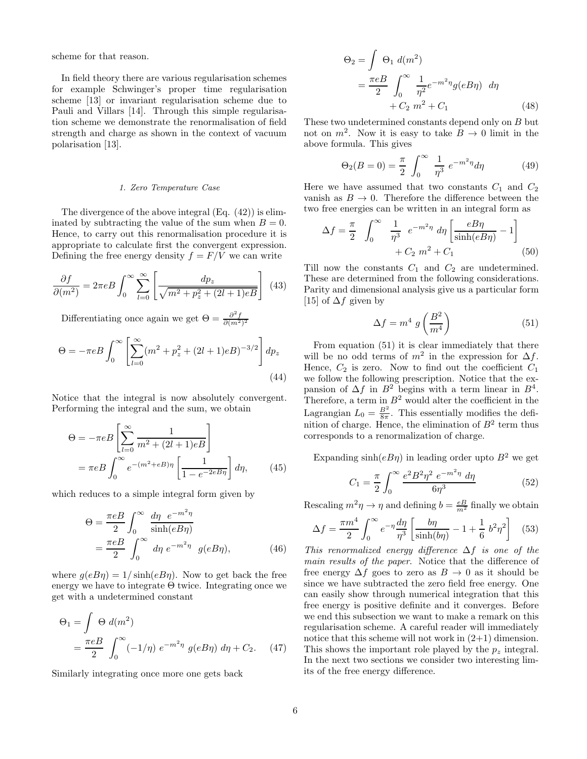scheme for that reason.

In field theory there are various regularisation schemes for example Schwinger's proper time regularisation scheme [13] or invariant regularisation scheme due to Pauli and Villars [14]. Through this simple regularisation scheme we demonstrate the renormalisation of field strength and charge as shown in the context of vacuum polarisation [13].

#### 1. Zero Temperature Case

The divergence of the above integral (Eq. (42)) is eliminated by subtracting the value of the sum when  $B = 0$ . Hence, to carry out this renormalisation procedure it is appropriate to calculate first the convergent expression. Defining the free energy density  $f = F/V$  we can write

$$
\frac{\partial f}{\partial (m^2)} = 2\pi eB \int_0^\infty \sum_{l=0}^\infty \left[ \frac{dp_z}{\sqrt{m^2 + p_z^2 + (2l+1)eB}} \right] \tag{43}
$$

Differentiating once again we get  $\Theta = \frac{\partial^2 f}{\partial (m^2)^2}$ 

$$
\Theta = -\pi eB \int_0^\infty \left[ \sum_{l=0}^\infty (m^2 + p_z^2 + (2l+1)eB)^{-3/2} \right] dp_z
$$
\n(44)

Notice that the integral is now absolutely convergent. Performing the integral and the sum, we obtain

$$
\Theta = -\pi e B \left[ \sum_{l=0}^{\infty} \frac{1}{m^2 + (2l+1)eB} \right]
$$

$$
= \pi e B \int_0^{\infty} e^{-(m^2 + eB)\eta} \left[ \frac{1}{1 - e^{-2eB\eta}} \right] d\eta, \qquad (45)
$$

which reduces to a simple integral form given by

$$
\Theta = \frac{\pi eB}{2} \int_0^\infty \frac{d\eta \ e^{-m^2 \eta}}{\sinh(eB\eta)}
$$
  
= 
$$
\frac{\pi eB}{2} \int_0^\infty d\eta \ e^{-m^2 \eta} \ g(eB\eta), \tag{46}
$$

where  $g(eB\eta) = 1/\sinh(eB\eta)$ . Now to get back the free energy we have to integrate  $\Theta$  twice. Integrating once we get with a undetermined constant

$$
\Theta_1 = \int \Theta \ d(m^2)
$$
  
= 
$$
\frac{\pi eB}{2} \int_0^\infty (-1/\eta) e^{-m^2 \eta} g(eB\eta) d\eta + C_2.
$$
 (47)

Similarly integrating once more one gets back

$$
\Theta_2 = \int \Theta_1 d(m^2)
$$
  
= 
$$
\frac{\pi eB}{2} \int_0^\infty \frac{1}{\eta^2} e^{-m^2 \eta} g(eB\eta) d\eta
$$
  
+ 
$$
C_2 m^2 + C_1
$$
 (48)

These two undetermined constants depend only on B but not on  $m^2$ . Now it is easy to take  $B \to 0$  limit in the above formula. This gives

$$
\Theta_2(B=0) = \frac{\pi}{2} \int_0^\infty \frac{1}{\eta^3} e^{-m^2 \eta} d\eta \tag{49}
$$

Here we have assumed that two constants  $C_1$  and  $C_2$ vanish as  $B \to 0$ . Therefore the difference between the two free energies can be written in an integral form as

$$
\Delta f = \frac{\pi}{2} \int_0^\infty \frac{1}{\eta^3} e^{-m^2 \eta} d\eta \left[ \frac{eB\eta}{\sinh(eB\eta)} - 1 \right] + C_2 m^2 + C_1 \tag{50}
$$

Till now the constants  $C_1$  and  $C_2$  are undetermined. These are determined from the following considerations. Parity and dimensional analysis give us a particular form [15] of  $\Delta f$  given by

$$
\Delta f = m^4 \ g \left(\frac{B^2}{m^4}\right) \tag{51}
$$

From equation (51) it is clear immediately that there will be no odd terms of  $m^2$  in the expression for  $\Delta f$ . Hence,  $C_2$  is zero. Now to find out the coefficient  $C_1$ we follow the following prescription. Notice that the expansion of  $\Delta f$  in  $B^2$  begins with a term linear in  $B^4$ . Therefore, a term in  $B^2$  would alter the coefficient in the Lagrangian  $L_0 = \frac{B^2}{8\pi}$ . This essentially modifies the definition of charge. Hence, the elimination of  $B^2$  term thus corresponds to a renormalization of charge.

Expanding  $sinh(eB\eta)$  in leading order upto  $B^2$  we get

$$
C_1 = \frac{\pi}{2} \int_0^\infty \frac{e^2 B^2 \eta^2 \ e^{-m^2 \eta} \ d\eta}{6\eta^3} \tag{52}
$$

Rescaling  $m^2\eta \to \eta$  and defining  $b = \frac{eB}{m^2}$  finally we obtain

$$
\Delta f = \frac{\pi m^4}{2} \int_0^\infty e^{-\eta} \frac{d\eta}{\eta^3} \left[ \frac{b\eta}{\sinh(b\eta)} - 1 + \frac{1}{6} b^2 \eta^2 \right] \tag{53}
$$

This renormalized energy difference  $\Delta f$  is one of the main results of the paper. Notice that the difference of free energy  $\Delta f$  goes to zero as  $B \to 0$  as it should be since we have subtracted the zero field free energy. One can easily show through numerical integration that this free energy is positive definite and it converges. Before we end this subsection we want to make a remark on this regularisation scheme. A careful reader will immediately notice that this scheme will not work in  $(2+1)$  dimension. This shows the important role played by the  $p_z$  integral. In the next two sections we consider two interesting limits of the free energy difference.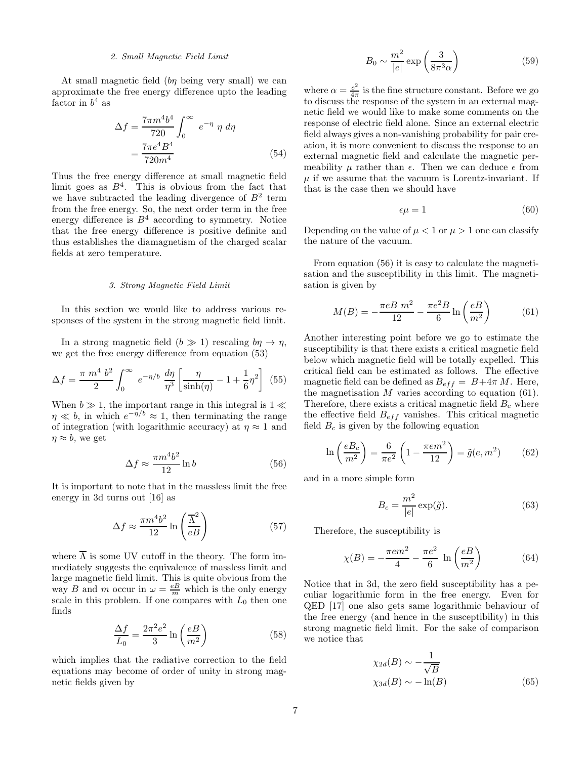## 2. Small Magnetic Field Limit

At small magnetic field (by being very small) we can approximate the free energy difference upto the leading factor in  $b^4$  as

$$
\Delta f = \frac{7\pi m^4 b^4}{720} \int_0^\infty e^{-\eta} \eta \, d\eta
$$

$$
= \frac{7\pi e^4 B^4}{720 m^4} \tag{54}
$$

Thus the free energy difference at small magnetic field limit goes as  $B^4$ . This is obvious from the fact that we have subtracted the leading divergence of  $B^2$  term from the free energy. So, the next order term in the free energy difference is  $B<sup>4</sup>$  according to symmetry. Notice that the free energy difference is positive definite and thus establishes the diamagnetism of the charged scalar fields at zero temperature.

#### 3. Strong Magnetic Field Limit

In this section we would like to address various responses of the system in the strong magnetic field limit.

In a strong magnetic field  $(b \gg 1)$  rescaling  $b\eta \to \eta$ , we get the free energy difference from equation (53)

$$
\Delta f = \frac{\pi \ m^4 b^2}{2} \int_0^\infty e^{-\eta/b} \ \frac{d\eta}{\eta^3} \left[ \frac{\eta}{\sinh(\eta)} - 1 + \frac{1}{6} \eta^2 \right] \tag{55}
$$

When  $b \gg 1$ , the important range in this integral is  $1 \ll$  $\eta \ll b$ , in which  $e^{-\eta/b} \approx 1$ , then terminating the range of integration (with logarithmic accuracy) at  $\eta \approx 1$  and  $\eta \approx b$ , we get

$$
\Delta f \approx \frac{\pi m^4 b^2}{12} \ln b \tag{56}
$$

It is important to note that in the massless limit the free energy in 3d turns out [16] as

$$
\Delta f \approx \frac{\pi m^4 b^2}{12} \ln \left( \frac{\overline{\Lambda}^2}{eB} \right) \tag{57}
$$

where  $\overline{\Lambda}$  is some UV cutoff in the theory. The form immediately suggests the equivalence of massless limit and large magnetic field limit. This is quite obvious from the way B and m occur in  $\omega = \frac{eB}{m}$  which is the only energy scale in this problem. If one compares with  $L_0$  then one finds

$$
\frac{\Delta f}{L_0} = \frac{2\pi^2 e^2}{3} \ln\left(\frac{eB}{m^2}\right) \tag{58}
$$

which implies that the radiative correction to the field equations may become of order of unity in strong magnetic fields given by

$$
B_0 \sim \frac{m^2}{|e|} \exp\left(\frac{3}{8\pi^3 \alpha}\right) \tag{59}
$$

where  $\alpha = \frac{e^2}{4\pi}$  $\frac{e^2}{4\pi}$  is the fine structure constant. Before we go to discuss the response of the system in an external magnetic field we would like to make some comments on the response of electric field alone. Since an external electric field always gives a non-vanishing probability for pair creation, it is more convenient to discuss the response to an external magnetic field and calculate the magnetic permeability  $\mu$  rather than  $\epsilon$ . Then we can deduce  $\epsilon$  from  $\mu$  if we assume that the vacuum is Lorentz-invariant. If that is the case then we should have

$$
\epsilon \mu = 1 \tag{60}
$$

Depending on the value of  $\mu < 1$  or  $\mu > 1$  one can classify the nature of the vacuum.

From equation (56) it is easy to calculate the magnetisation and the susceptibility in this limit. The magnetisation is given by

$$
M(B) = -\frac{\pi e B m^2}{12} - \frac{\pi e^2 B}{6} \ln\left(\frac{e B}{m^2}\right)
$$
 (61)

Another interesting point before we go to estimate the susceptibility is that there exists a critical magnetic field below which magnetic field will be totally expelled. This critical field can be estimated as follows. The effective magnetic field can be defined as  $B_{eff} = B + 4\pi M$ . Here, the magnetisation  $M$  varies according to equation (61). Therefore, there exists a critical magnetic field  $B<sub>c</sub>$  where the effective field  $B_{eff}$  vanishes. This critical magnetic field  $B_c$  is given by the following equation

$$
\ln\left(\frac{eB_c}{m^2}\right) = \frac{6}{\pi e^2} \left(1 - \frac{\pi e m^2}{12}\right) = \tilde{g}(e, m^2) \tag{62}
$$

and in a more simple form

$$
B_c = \frac{m^2}{|e|} \exp(\tilde{g}).
$$
\n(63)

Therefore, the susceptibility is

$$
\chi(B) = -\frac{\pi e m^2}{4} - \frac{\pi e^2}{6} \ln\left(\frac{eB}{m^2}\right) \tag{64}
$$

Notice that in 3d, the zero field susceptibility has a peculiar logarithmic form in the free energy. Even for QED [17] one also gets same logarithmic behaviour of the free energy (and hence in the susceptibility) in this strong magnetic field limit. For the sake of comparison we notice that

$$
\chi_{2d}(B) \sim -\frac{1}{\sqrt{B}}
$$
  

$$
\chi_{3d}(B) \sim -\ln(B)
$$
 (65)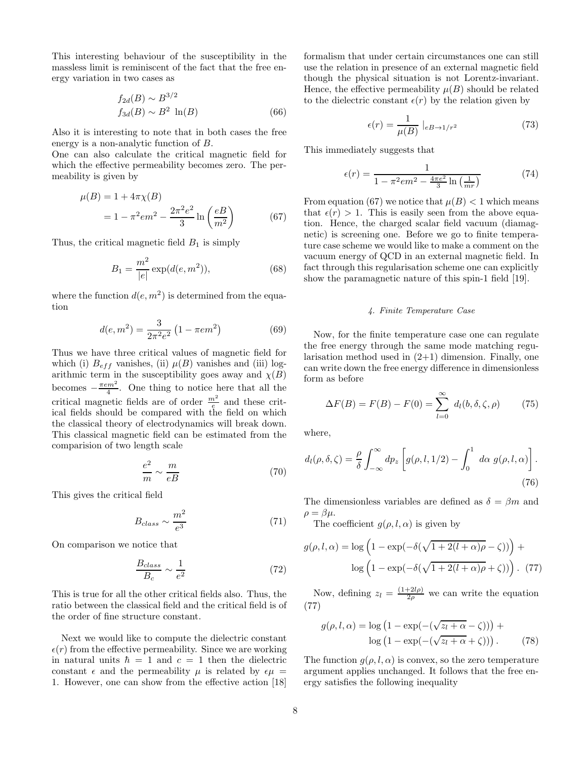This interesting behaviour of the susceptibility in the massless limit is reminiscent of the fact that the free energy variation in two cases as

$$
f_{2d}(B) \sim B^{3/2}
$$
  

$$
f_{3d}(B) \sim B^2 \ln(B)
$$
 (66)

Also it is interesting to note that in both cases the free energy is a non-analytic function of B.

One can also calculate the critical magnetic field for which the effective permeability becomes zero. The permeability is given by

$$
\mu(B) = 1 + 4\pi \chi(B) \n= 1 - \pi^2 e^2 - \frac{2\pi^2 e^2}{3} \ln\left(\frac{eB}{m^2}\right)
$$
\n(67)

Thus, the critical magnetic field  $B_1$  is simply

$$
B_1 = \frac{m^2}{|e|} \exp(d(e, m^2)),\tag{68}
$$

where the function  $d(e, m^2)$  is determined from the equation

$$
d(e, m^2) = \frac{3}{2\pi^2 e^2} \left(1 - \pi e m^2\right) \tag{69}
$$

Thus we have three critical values of magnetic field for which (i)  $B_{eff}$  vanishes, (ii)  $\mu(B)$  vanishes and (iii) logarithmic term in the susceptibility goes away and  $\chi(B)$ becomes  $-\frac{\pi e m^2}{4}$ . One thing to notice here that all the critical magnetic fields are of order  $\frac{m^2}{e}$  and these critical fields should be compared with the field on which the classical theory of electrodynamics will break down. This classical magnetic field can be estimated from the comparision of two length scale

$$
\frac{e^2}{m} \sim \frac{m}{eB} \tag{70}
$$

This gives the critical field

$$
B_{class} \sim \frac{m^2}{e^3} \tag{71}
$$

On comparison we notice that

$$
\frac{B_{class}}{B_c} \sim \frac{1}{e^2} \tag{72}
$$

This is true for all the other critical fields also. Thus, the ratio between the classical field and the critical field is of the order of fine structure constant.

Next we would like to compute the dielectric constant  $\epsilon(r)$  from the effective permeability. Since we are working in natural units  $\hbar = 1$  and  $c = 1$  then the dielectric constant  $\epsilon$  and the permeability  $\mu$  is related by  $\epsilon \mu$  = 1. However, one can show from the effective action [18] formalism that under certain circumstances one can still use the relation in presence of an external magnetic field though the physical situation is not Lorentz-invariant. Hence, the effective permeability  $\mu(B)$  should be related to the dielectric constant  $\epsilon(r)$  by the relation given by

$$
\epsilon(r) = \frac{1}{\mu(B)} \mid_{eB \to 1/r^2} \tag{73}
$$

This immediately suggests that

$$
\epsilon(r) = \frac{1}{1 - \pi^2 e m^2 - \frac{4\pi e^2}{3} \ln\left(\frac{1}{mr}\right)}\tag{74}
$$

From equation (67) we notice that  $\mu(B) < 1$  which means that  $\epsilon(r) > 1$ . This is easily seen from the above equation. Hence, the charged scalar field vacuum (diamagnetic) is screening one. Before we go to finite temperature case scheme we would like to make a comment on the vacuum energy of QCD in an external magnetic field. In fact through this regularisation scheme one can explicitly show the paramagnetic nature of this spin-1 field [19].

#### 4. Finite Temperature Case

Now, for the finite temperature case one can regulate the free energy through the same mode matching regularisation method used in  $(2+1)$  dimension. Finally, one can write down the free energy difference in dimensionless form as before

$$
\Delta F(B) = F(B) - F(0) = \sum_{l=0}^{\infty} d_l(b, \delta, \zeta, \rho) \tag{75}
$$

where,

$$
d_l(\rho, \delta, \zeta) = \frac{\rho}{\delta} \int_{-\infty}^{\infty} dp_z \left[ g(\rho, l, 1/2) - \int_0^1 d\alpha \ g(\rho, l, \alpha) \right].
$$
\n(76)

The dimensionless variables are defined as  $\delta = \beta m$  and  $\rho = \beta \mu$ .

The coefficient  $g(\rho, l, \alpha)$  is given by

$$
g(\rho, l, \alpha) = \log \left( 1 - \exp(-\delta(\sqrt{1 + 2(l + \alpha)\rho} - \zeta)) \right) + \log \left( 1 - \exp(-\delta(\sqrt{1 + 2(l + \alpha)\rho} + \zeta)) \right). (77)
$$

Now, defining  $z_l = \frac{(1+2l\rho)}{2\rho}$  we can write the equation (77)

$$
g(\rho, l, \alpha) = \log (1 - \exp(-(\sqrt{z_l + \alpha} - \zeta))) +
$$

$$
\log (1 - \exp(-(\sqrt{z_l + \alpha} + \zeta))) . \tag{78}
$$

The function  $q(\rho, l, \alpha)$  is convex, so the zero temperature argument applies unchanged. It follows that the free energy satisfies the following inequality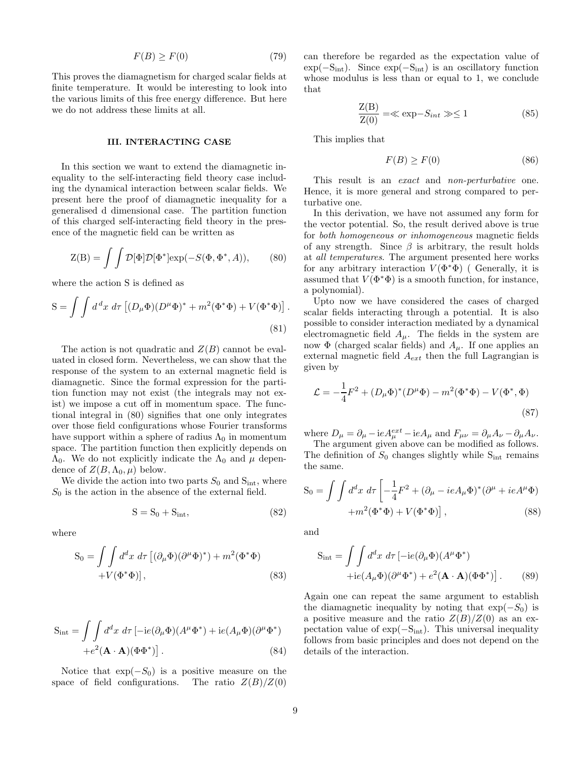$$
F(B) \ge F(0) \tag{79}
$$

This proves the diamagnetism for charged scalar fields at finite temperature. It would be interesting to look into the various limits of this free energy difference. But here we do not address these limits at all.

## III. INTERACTING CASE

In this section we want to extend the diamagnetic inequality to the self-interacting field theory case including the dynamical interaction between scalar fields. We present here the proof of diamagnetic inequality for a generalised d dimensional case. The partition function of this charged self-interacting field theory in the presence of the magnetic field can be written as

$$
Z(B) = \int \int \mathcal{D}[\Phi] \mathcal{D}[\Phi^*] \exp(-S(\Phi, \Phi^*, A)), \quad (80)
$$

where the action S is defined as

$$
S = \int \int d^d x \, d\tau \left[ (D_\mu \Phi)(D^\mu \Phi)^* + m^2 (\Phi^* \Phi) + V (\Phi^* \Phi) \right].
$$
\n(81)

The action is not quadratic and  $Z(B)$  cannot be evaluated in closed form. Nevertheless, we can show that the response of the system to an external magnetic field is diamagnetic. Since the formal expression for the partition function may not exist (the integrals may not exist) we impose a cut off in momentum space. The functional integral in (80) signifies that one only integrates over those field configurations whose Fourier transforms have support within a sphere of radius  $\Lambda_0$  in momentum space. The partition function then explicitly depends on  $\Lambda_0$ . We do not explicitly indicate the  $\Lambda_0$  and  $\mu$  dependence of  $Z(B,\Lambda_0,\mu)$  below.

We divide the action into two parts  $S_0$  and  $S_{int}$ , where  $S_0$  is the action in the absence of the external field.

$$
S = S_0 + S_{int}, \tag{82}
$$

where

$$
S_0 = \iint d^d x \, d\tau \, \left[ (\partial_\mu \Phi)(\partial^\mu \Phi)^* \right] + m^2 (\Phi^* \Phi)
$$
  
+  $V(\Phi^* \Phi)$ , (83)

$$
S_{int} = \int \int d^d x \, d\tau \left[ -ie(\partial_\mu \Phi)(A^\mu \Phi^*) + ie(A_\mu \Phi)(\partial^\mu \Phi^*) \right. \\ + e^2 (\mathbf{A} \cdot \mathbf{A})(\Phi \Phi^*) \right]. \tag{84}
$$

Notice that  $\exp(-S_0)$  is a positive measure on the space of field configurations. The ratio  $Z(B)/Z(0)$ 

can therefore be regarded as the expectation value of  $\exp(-S_{\rm int})$ . Since  $\exp(-S_{\rm int})$  is an oscillatory function whose modulus is less than or equal to 1, we conclude that

$$
\frac{Z(B)}{Z(0)} = \ll \exp{-S_{int}} \gg \le 1
$$
\n(85)

This implies that

$$
F(B) \ge F(0) \tag{86}
$$

This result is an *exact* and *non-perturbative* one. Hence, it is more general and strong compared to perturbative one.

In this derivation, we have not assumed any form for the vector potential. So, the result derived above is true for both homogeneous or inhomogeneous magnetic fields of any strength. Since  $\beta$  is arbitrary, the result holds at all temperatures. The argument presented here works for any arbitrary interaction  $V(\Phi^*\Phi)$  (Generally, it is assumed that  $V(\Phi^*\Phi)$  is a smooth function, for instance, a polynomial).

Upto now we have considered the cases of charged scalar fields interacting through a potential. It is also possible to consider interaction mediated by a dynamical electromagnetic field  $A_\mu$ . The fields in the system are now  $\Phi$  (charged scalar fields) and  $A_\mu$ . If one applies an external magnetic field  $A_{ext}$  then the full Lagrangian is given by

$$
\mathcal{L} = -\frac{1}{4}F^2 + (D_{\mu}\Phi)^*(D^{\mu}\Phi) - m^2(\Phi^*\Phi) - V(\Phi^*,\Phi)
$$
\n(87)

where  $D_{\mu} = \partial_{\mu} - ieA_{\mu}^{ext} - ieA_{\mu}$  and  $F_{\mu\nu} = \partial_{\mu}A_{\nu} - \partial_{\mu}A_{\nu}$ .

The argument given above can be modified as follows. The definition of  $S_0$  changes slightly while  $S_{int}$  remains the same.

$$
S_0 = \int \int d^d x \, d\tau \left[ -\frac{1}{4} F^2 + (\partial_\mu - ieA_\mu \Phi)^* (\partial^\mu + ieA^\mu \Phi) + m^2 (\Phi^* \Phi) + V (\Phi^* \Phi) \right],
$$
\n(88)

and

$$
S_{int} = \int \int d^d x \, d\tau \left[ -ie(\partial_\mu \Phi)(A^\mu \Phi^*) + ie(A_\mu \Phi)(\partial^\mu \Phi^*) + e^2 (\mathbf{A} \cdot \mathbf{A})(\Phi \Phi^*) \right]. \tag{89}
$$

Again one can repeat the same argument to establish the diamagnetic inequality by noting that  $\exp(-S_0)$  is a positive measure and the ratio  $Z(B)/Z(0)$  as an expectation value of  $\exp(-S_{\text{int}})$ . This universal inequality follows from basic principles and does not depend on the details of the interaction.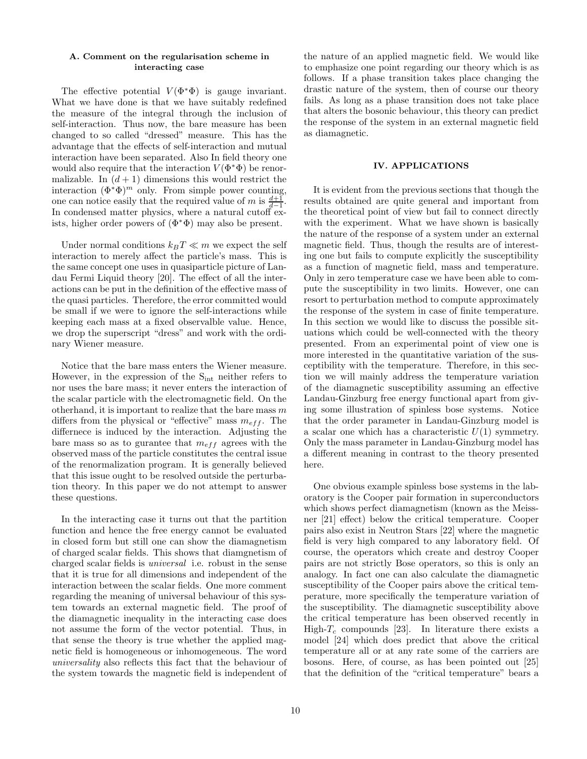## A. Comment on the regularisation scheme in interacting case

The effective potential  $V(\Phi^*\Phi)$  is gauge invariant. What we have done is that we have suitably redefined the measure of the integral through the inclusion of self-interaction. Thus now, the bare measure has been changed to so called "dressed" measure. This has the advantage that the effects of self-interaction and mutual interaction have been separated. Also In field theory one would also require that the interaction  $V(\Phi^*\Phi)$  be renormalizable. In  $(d+1)$  dimensions this would restrict the interaction  $(\Phi^*\Phi)^m$  only. From simple power counting, one can notice easily that the required value of m is  $\frac{d+1}{d-1}$ . In condensed matter physics, where a natural cutoff exists, higher order powers of  $(\Phi^*\Phi)$  may also be present.

Under normal conditions  $k_B T \ll m$  we expect the self interaction to merely affect the particle's mass. This is the same concept one uses in quasiparticle picture of Landau Fermi Liquid theory [20]. The effect of all the interactions can be put in the definition of the effective mass of the quasi particles. Therefore, the error committed would be small if we were to ignore the self-interactions while keeping each mass at a fixed observalble value. Hence, we drop the superscript "dress" and work with the ordinary Wiener measure.

Notice that the bare mass enters the Wiener measure. However, in the expression of the  $S_{int}$  neither refers to nor uses the bare mass; it never enters the interaction of the scalar particle with the electromagnetic field. On the otherhand, it is important to realize that the bare mass  $m$ differs from the physical or "effective" mass  $m_{eff}$ . The differnece is induced by the interaction. Adjusting the bare mass so as to gurantee that  $m_{eff}$  agrees with the observed mass of the particle constitutes the central issue of the renormalization program. It is generally believed that this issue ought to be resolved outside the perturbation theory. In this paper we do not attempt to answer these questions.

In the interacting case it turns out that the partition function and hence the free energy cannot be evaluated in closed form but still one can show the diamagnetism of charged scalar fields. This shows that diamgnetism of charged scalar fields is universal i.e. robust in the sense that it is true for all dimensions and independent of the interaction between the scalar fields. One more comment regarding the meaning of universal behaviour of this system towards an external magnetic field. The proof of the diamagnetic inequality in the interacting case does not assume the form of the vector potential. Thus, in that sense the theory is true whether the applied magnetic field is homogeneous or inhomogeneous. The word universality also reflects this fact that the behaviour of the system towards the magnetic field is independent of the nature of an applied magnetic field. We would like to emphasize one point regarding our theory which is as follows. If a phase transition takes place changing the drastic nature of the system, then of course our theory fails. As long as a phase transition does not take place that alters the bosonic behaviour, this theory can predict the response of the system in an external magnetic field as diamagnetic.

### IV. APPLICATIONS

It is evident from the previous sections that though the results obtained are quite general and important from the theoretical point of view but fail to connect directly with the experiment. What we have shown is basically the nature of the response of a system under an external magnetic field. Thus, though the results are of interesting one but fails to compute explicitly the susceptibility as a function of magnetic field, mass and temperature. Only in zero temperature case we have been able to compute the susceptibility in two limits. However, one can resort to perturbation method to compute approximately the response of the system in case of finite temperature. In this section we would like to discuss the possible situations which could be well-connected with the theory presented. From an experimental point of view one is more interested in the quantitative variation of the susceptibility with the temperature. Therefore, in this section we will mainly address the temperature variation of the diamagnetic susceptibility assuming an effective Landau-Ginzburg free energy functional apart from giving some illustration of spinless bose systems. Notice that the order parameter in Landau-Ginzburg model is a scalar one which has a characteristic  $U(1)$  symmetry. Only the mass parameter in Landau-Ginzburg model has a different meaning in contrast to the theory presented here.

One obvious example spinless bose systems in the laboratory is the Cooper pair formation in superconductors which shows perfect diamagnetism (known as the Meissner [21] effect) below the critical temperature. Cooper pairs also exist in Neutron Stars [22] where the magnetic field is very high compared to any laboratory field. Of course, the operators which create and destroy Cooper pairs are not strictly Bose operators, so this is only an analogy. In fact one can also calculate the diamagnetic susceptibility of the Cooper pairs above the critical temperature, more specifically the temperature variation of the susceptibility. The diamagnetic susceptibility above the critical temperature has been observed recently in High- $T_c$  compounds [23]. In literature there exists a model [24] which does predict that above the critical temperature all or at any rate some of the carriers are bosons. Here, of course, as has been pointed out [25] that the definition of the "critical temperature" bears a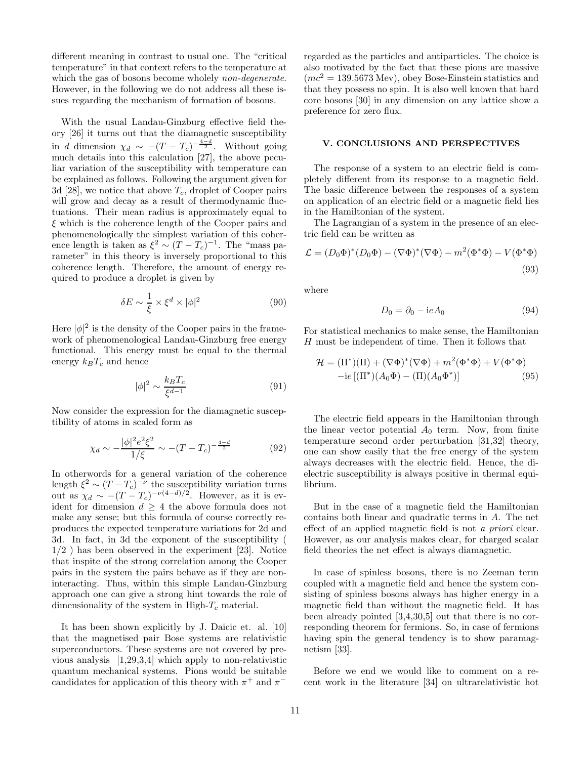different meaning in contrast to usual one. The "critical temperature" in that context refers to the temperature at which the gas of bosons become wholely *non-degenerate*. However, in the following we do not address all these issues regarding the mechanism of formation of bosons.

With the usual Landau-Ginzburg effective field theory [26] it turns out that the diamagnetic susceptibility in d dimension  $\chi_d \sim -(T - T_c)^{-\frac{4-d}{2}}$ . Without going much details into this calculation [27], the above peculiar variation of the susceptibility with temperature can be explained as follows. Following the argument given for 3d [28], we notice that above  $T_c$ , droplet of Cooper pairs will grow and decay as a result of thermodynamic fluctuations. Their mean radius is approximately equal to  $\xi$  which is the coherence length of the Cooper pairs and phenomenologically the simplest variation of this coherence length is taken as  $\xi^2 \sim (T - T_c)^{-1}$ . The "mass parameter" in this theory is inversely proportional to this coherence length. Therefore, the amount of energy required to produce a droplet is given by

$$
\delta E \sim \frac{1}{\xi} \times \xi^d \times |\phi|^2 \tag{90}
$$

Here  $|\phi|^2$  is the density of the Cooper pairs in the framework of phenomenological Landau-Ginzburg free energy functional. This energy must be equal to the thermal energy  $k_BT_c$  and hence

$$
|\phi|^2 \sim \frac{k_B T_c}{\xi^{d-1}}\tag{91}
$$

Now consider the expression for the diamagnetic susceptibility of atoms in scaled form as

$$
\chi_d \sim -\frac{|\phi|^2 e^2 \xi^2}{1/\xi} \sim -(T - T_c)^{-\frac{4-d}{2}} \tag{92}
$$

In otherwords for a general variation of the coherence length  $\xi^2 \sim (T - T_c)^{-\nu}$  the susceptibility variation turns out as  $\chi_d \sim -(T - T_c)^{-\nu(4-d)/2}$ . However, as it is evident for dimension  $d \geq 4$  the above formula does not make any sense; but this formula of course correctly reproduces the expected temperature variations for 2d and 3d. In fact, in 3d the exponent of the susceptibility ( 1/2 ) has been observed in the experiment [23]. Notice that inspite of the strong correlation among the Cooper pairs in the system the pairs behave as if they are noninteracting. Thus, within this simple Landau-Ginzburg approach one can give a strong hint towards the role of dimensionality of the system in High- $T_c$  material.

It has been shown explicitly by J. Daicic et. al. [10] that the magnetised pair Bose systems are relativistic superconductors. These systems are not covered by previous analysis [1,29,3,4] which apply to non-relativistic quantum mechanical systems. Pions would be suitable candidates for application of this theory with  $\pi^+$  and  $\pi^-$ 

regarded as the particles and antiparticles. The choice is also motivated by the fact that these pions are massive  $(mc^2 = 139.5673$  Mev), obey Bose-Einstein statistics and that they possess no spin. It is also well known that hard core bosons [30] in any dimension on any lattice show a preference for zero flux.

#### V. CONCLUSIONS AND PERSPECTIVES

The response of a system to an electric field is completely different from its response to a magnetic field. The basic difference between the responses of a system on application of an electric field or a magnetic field lies in the Hamiltonian of the system.

The Lagrangian of a system in the presence of an electric field can be written as

$$
\mathcal{L} = (D_0 \Phi)^* (D_0 \Phi) - (\nabla \Phi)^* (\nabla \Phi) - m^2 (\Phi^* \Phi) - V (\Phi^* \Phi)
$$
\n(93)

where

$$
D_0 = \partial_0 - \mathrm{i}e A_0 \tag{94}
$$

For statistical mechanics to make sense, the Hamiltonian H must be independent of time. Then it follows that

$$
\mathcal{H} = (\Pi^*)(\Pi) + (\nabla\Phi)^*(\nabla\Phi) + m^2(\Phi^*\Phi) + V(\Phi^*\Phi)
$$
  
-ie 
$$
[(\Pi^*)(A_0\Phi) - (\Pi)(A_0\Phi^*)]
$$
(95)

The electric field appears in the Hamiltonian through the linear vector potential  $A_0$  term. Now, from finite temperature second order perturbation [31,32] theory, one can show easily that the free energy of the system always decreases with the electric field. Hence, the dielectric susceptibility is always positive in thermal equilibrium.

But in the case of a magnetic field the Hamiltonian contains both linear and quadratic terms in A. The net effect of an applied magnetic field is not a priori clear. However, as our analysis makes clear, for charged scalar field theories the net effect is always diamagnetic.

In case of spinless bosons, there is no Zeeman term coupled with a magnetic field and hence the system consisting of spinless bosons always has higher energy in a magnetic field than without the magnetic field. It has been already pointed [3,4,30,5] out that there is no corresponding theorem for fermions. So, in case of fermions having spin the general tendency is to show paramagnetism [33].

Before we end we would like to comment on a recent work in the literature [34] on ultrarelativistic hot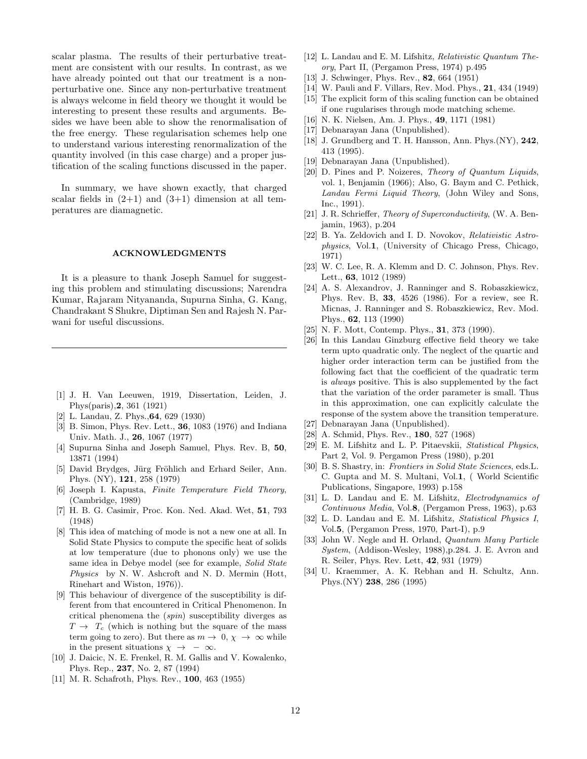scalar plasma. The results of their perturbative treatment are consistent with our results. In contrast, as we have already pointed out that our treatment is a nonperturbative one. Since any non-perturbative treatment is always welcome in field theory we thought it would be interesting to present these results and arguments. Besides we have been able to show the renormalisation of the free energy. These regularisation schemes help one to understand various interesting renormalization of the quantity involved (in this case charge) and a proper justification of the scaling functions discussed in the paper.

In summary, we have shown exactly, that charged scalar fields in  $(2+1)$  and  $(3+1)$  dimension at all temperatures are diamagnetic.

#### ACKNOWLEDGMENTS

It is a pleasure to thank Joseph Samuel for suggesting this problem and stimulating discussions; Narendra Kumar, Rajaram Nityananda, Supurna Sinha, G. Kang, Chandrakant S Shukre, Diptiman Sen and Rajesh N. Parwani for useful discussions.

- [1] J. H. Van Leeuwen, 1919, Dissertation, Leiden, J. Phys(paris),2, 361 (1921)
- [2] L. Landau, Z. Phys.,64, 629 (1930)
- [3] B. Simon, Phys. Rev. Lett., 36, 1083 (1976) and Indiana Univ. Math. J., 26, 1067 (1977)
- [4] Supurna Sinha and Joseph Samuel, Phys. Rev. B, 50, 13871 (1994)
- [5] David Brydges, Jürg Fröhlich and Erhard Seiler, Ann. Phys. (NY), 121, 258 (1979)
- [6] Joseph I. Kapusta, Finite Temperature Field Theory, (Cambridge, 1989)
- [7] H. B. G. Casimir, Proc. Kon. Ned. Akad. Wet, 51, 793 (1948)
- [8] This idea of matching of mode is not a new one at all. In Solid State Physics to compute the specific heat of solids at low temperature (due to phonons only) we use the same idea in Debye model (see for example, Solid State Physics by N. W. Ashcroft and N. D. Mermin (Hott, Rinehart and Wiston, 1976)).
- [9] This behaviour of divergence of the susceptibility is different from that encountered in Critical Phenomenon. In critical phenomena the (spin) susceptibility diverges as  $T \rightarrow T_c$  (which is nothing but the square of the mass term going to zero). But there as  $m \to 0, \chi \to \infty$  while in the present situations  $\chi \rightarrow -\infty$ .
- [10] J. Daicic, N. E. Frenkel, R. M. Gallis and V. Kowalenko, Phys. Rep., 237, No. 2, 87 (1994)
- [11] M. R. Schafroth, Phys. Rev., **100**, 463 (1955)
- [12] L. Landau and E. M. Lifshitz, Relativistic Quantum Theory, Part II, (Pergamon Press, 1974) p.495
- [13] J. Schwinger, Phys. Rev., **82**, 664 (1951)
- [14] W. Pauli and F. Villars, Rev. Mod. Phys., 21, 434 (1949)
- [15] The explicit form of this scaling function can be obtained if one rugularises through mode matching scheme.
- [16] N. K. Nielsen, Am. J. Phys., 49, 1171 (1981)
- [17] Debnarayan Jana (Unpublished).
- [18] J. Grundberg and T. H. Hansson, Ann. Phys.(NY), 242, 413 (1995).
- [19] Debnarayan Jana (Unpublished).
- [20] D. Pines and P. Noizeres, Theory of Quantum Liquids, vol. 1, Benjamin (1966); Also, G. Baym and C. Pethick, Landau Fermi Liquid Theory, (John Wiley and Sons, Inc., 1991).
- [21] J. R. Schrieffer, Theory of Superconductivity, (W. A. Benjamin, 1963), p.204
- [22] B. Ya. Zeldovich and I. D. Novokov, Relativistic Astrophysics, Vol.1, (University of Chicago Press, Chicago, 1971)
- [23] W. C. Lee, R. A. Klemm and D. C. Johnson, Phys. Rev. Lett., 63, 1012 (1989)
- [24] A. S. Alexandrov, J. Ranninger and S. Robaszkiewicz, Phys. Rev. B, 33, 4526 (1986). For a review, see R. Micnas, J. Ranninger and S. Robaszkiewicz, Rev. Mod. Phys., 62, 113 (1990)
- [25] N. F. Mott, Contemp. Phys., 31, 373 (1990).
- [26] In this Landau Ginzburg effective field theory we take term upto quadratic only. The neglect of the quartic and higher order interaction term can be justified from the following fact that the coefficient of the quadratic term is always positive. This is also supplemented by the fact that the variation of the order parameter is small. Thus in this approximation, one can explicitly calculate the response of the system above the transition temperature.
- [27] Debnarayan Jana (Unpublished).
- [28] A. Schmid, Phys. Rev., **180**, 527 (1968)
- [29] E. M. Lifshitz and L. P. Pitaevskii, Statistical Physics, Part 2, Vol. 9. Pergamon Press (1980), p.201
- [30] B. S. Shastry, in: Frontiers in Solid State Sciences, eds.L. C. Gupta and M. S. Multani, Vol.1, ( World Scientific Publications, Singapore, 1993) p.158
- [31] L. D. Landau and E. M. Lifshitz, *Electrodynamics of* Continuous Media, Vol.8, (Pergamon Press, 1963), p.63
- [32] L. D. Landau and E. M. Lifshitz, Statistical Physics I, Vol.5, (Pergamon Press, 1970, Part-I), p.9
- [33] John W. Negle and H. Orland, Quantum Many Particle System, (Addison-Wesley, 1988),p.284. J. E. Avron and R. Seiler, Phys. Rev. Lett, 42, 931 (1979)
- [34] U. Kraemmer, A. K. Rebhan and H. Schultz, Ann. Phys.(NY) 238, 286 (1995)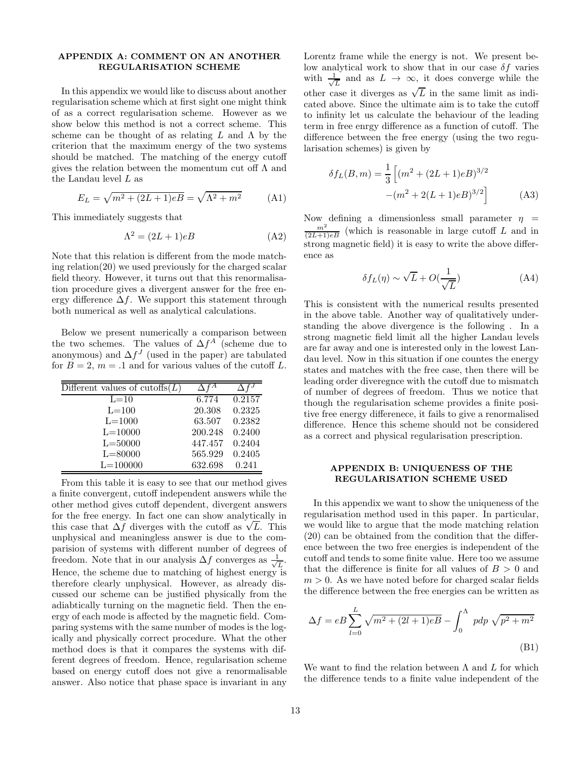## APPENDIX A: COMMENT ON AN ANOTHER REGULARISATION SCHEME

In this appendix we would like to discuss about another regularisation scheme which at first sight one might think of as a correct regularisation scheme. However as we show below this method is not a correct scheme. This scheme can be thought of as relating  $L$  and  $\Lambda$  by the criterion that the maximum energy of the two systems should be matched. The matching of the energy cutoff gives the relation between the momentum cut off  $\Lambda$  and the Landau level L as

$$
E_L = \sqrt{m^2 + (2L + 1)eB} = \sqrt{\Lambda^2 + m^2}
$$
 (A1)

This immediately suggests that

$$
\Lambda^2 = (2L+1)eB \tag{A2}
$$

Note that this relation is different from the mode matching relation(20) we used previously for the charged scalar field theory. However, it turns out that this renormalisation procedure gives a divergent answer for the free energy difference  $\Delta f$ . We support this statement through both numerical as well as analytical calculations.

Below we present numerically a comparison between the two schemes. The values of  $\Delta f^A$  (scheme due to anonymous) and  $\Delta f^J$  (used in the paper) are tabulated for  $B = 2$ ,  $m = .1$  and for various values of the cutoff L.

| Different values of cutoffs $(L)$ |         |        |
|-----------------------------------|---------|--------|
| $L=10$                            | 6.774   | 0.2157 |
| $L=100$                           | 20.308  | 0.2325 |
| $L = 1000$                        | 63.507  | 0.2382 |
| $L = 10000$                       | 200.248 | 0.2400 |
| $L = 50000$                       | 447.457 | 0.2404 |
| $L = 80000$                       | 565.929 | 0.2405 |
| $L = 100000$                      | 632.698 | 0.241  |

From this table it is easy to see that our method gives a finite convergent, cutoff independent answers while the other method gives cutoff dependent, divergent answers for the free energy. In fact one can show analytically in this case that  $\Delta f$  diverges with the cutoff as  $\sqrt{L}$ . This unphysical and meaningless answer is due to the comparision of systems with different number of degrees of freedom. Note that in our analysis  $\Delta f$  converges as  $\frac{1}{\sqrt{2}}$  $\overline{L}$ . Hence, the scheme due to matching of highest energy is therefore clearly unphysical. However, as already discussed our scheme can be justified physically from the adiabtically turning on the magnetic field. Then the energy of each mode is affected by the magnetic field. Comparing systems with the same number of modes is the logically and physically correct procedure. What the other method does is that it compares the systems with different degrees of freedom. Hence, regularisation scheme based on energy cutoff does not give a renormalisable answer. Also notice that phase space is invariant in any

Lorentz frame while the energy is not. We present below analytical work to show that in our case  $\delta f$  varies with  $\frac{1}{\sqrt{2}}$  $\frac{L}{L}$  and as  $L \to \infty$ , it does converge while the other case it diverges as  $\sqrt{L}$  in the same limit as indicated above. Since the ultimate aim is to take the cutoff to infinity let us calculate the behaviour of the leading term in free enrgy difference as a function of cutoff. The difference between the free energy (using the two regularisation schemes) is given by

$$
\delta f_L(B,m) = \frac{1}{3} \left[ (m^2 + (2L+1)eB)^{3/2} - (m^2 + 2(L+1)eB)^{3/2} \right]
$$
 (A3)

Now defining a dimensionless small parameter  $\eta =$  $\frac{m^2}{(2L+1)eB}$  (which is reasonable in large cutoff L and in strong magnetic field) it is easy to write the above difference as

$$
\delta f_L(\eta) \sim \sqrt{L} + O(\frac{1}{\sqrt{L}})
$$
 (A4)

This is consistent with the numerical results presented in the above table. Another way of qualitatively understanding the above divergence is the following . In a strong magnetic field limit all the higher Landau levels are far away and one is interested only in the lowest Landau level. Now in this situation if one countes the energy states and matches with the free case, then there will be leading order diveregnce with the cutoff due to mismatch of number of degrees of freedom. Thus we notice that though the regularisation scheme provides a finite positive free energy differenece, it fails to give a renormalised difference. Hence this scheme should not be considered as a correct and physical regularisation prescription.

## APPENDIX B: UNIQUENESS OF THE REGULARISATION SCHEME USED

In this appendix we want to show the uniqueness of the regularisation method used in this paper. In particular, we would like to argue that the mode matching relation (20) can be obtained from the condition that the difference between the two free energies is independent of the cutoff and tends to some finite value. Here too we assume that the difference is finite for all values of  $B > 0$  and  $m > 0$ . As we have noted before for charged scalar fields the difference between the free energies can be written as

$$
\Delta f = eB \sum_{l=0}^{L} \sqrt{m^2 + (2l+1)eB} - \int_0^{\Lambda} pdp \sqrt{p^2 + m^2}
$$
\n(B1)

We want to find the relation between  $\Lambda$  and  $L$  for which the difference tends to a finite value independent of the